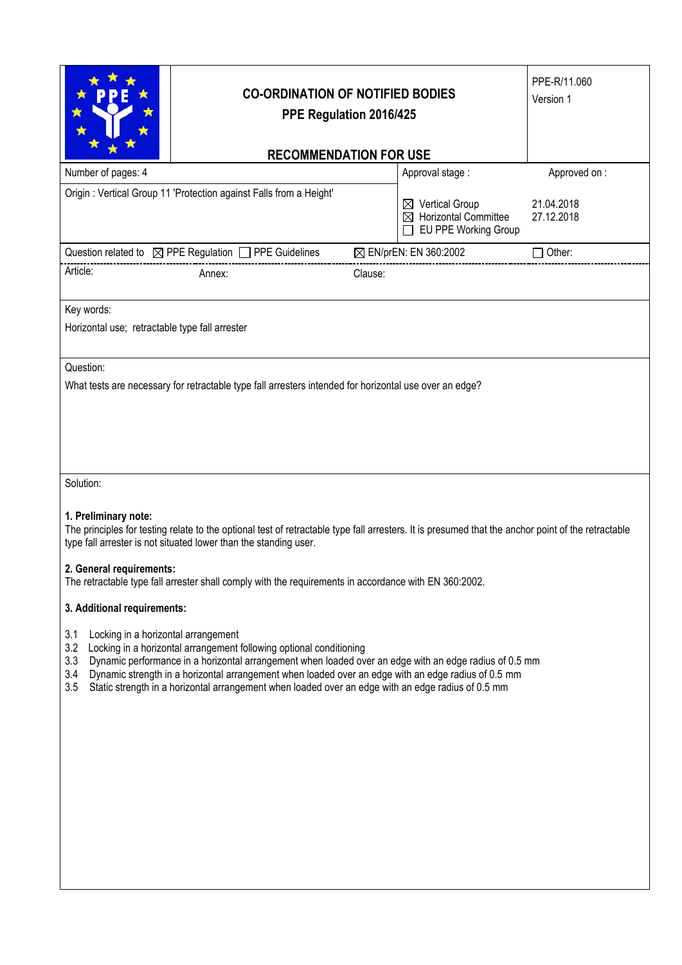| Approval stage:<br>Approved on:                                                                                                                                                                                                                                                                                     |  |  |  |
|---------------------------------------------------------------------------------------------------------------------------------------------------------------------------------------------------------------------------------------------------------------------------------------------------------------------|--|--|--|
|                                                                                                                                                                                                                                                                                                                     |  |  |  |
| $\boxtimes$ Vertical Group<br>21.04.2018<br>$\boxtimes$ Horizontal Committee<br>27.12.2018<br>EU PPE Working Group                                                                                                                                                                                                  |  |  |  |
| ⊠ EN/prEN: EN 360:2002<br>$\Box$ Other:                                                                                                                                                                                                                                                                             |  |  |  |
|                                                                                                                                                                                                                                                                                                                     |  |  |  |
|                                                                                                                                                                                                                                                                                                                     |  |  |  |
|                                                                                                                                                                                                                                                                                                                     |  |  |  |
|                                                                                                                                                                                                                                                                                                                     |  |  |  |
| What tests are necessary for retractable type fall arresters intended for horizontal use over an edge?                                                                                                                                                                                                              |  |  |  |
| The principles for testing relate to the optional test of retractable type fall arresters. It is presumed that the anchor point of the retractable<br>The retractable type fall arrester shall comply with the requirements in accordance with EN 360:2002.                                                         |  |  |  |
| 3. Additional requirements:                                                                                                                                                                                                                                                                                         |  |  |  |
| Dynamic performance in a horizontal arrangement when loaded over an edge with an edge radius of 0.5 mm<br>Dynamic strength in a horizontal arrangement when loaded over an edge with an edge radius of 0.5 mm<br>Static strength in a horizontal arrangement when loaded over an edge with an edge radius of 0.5 mm |  |  |  |
|                                                                                                                                                                                                                                                                                                                     |  |  |  |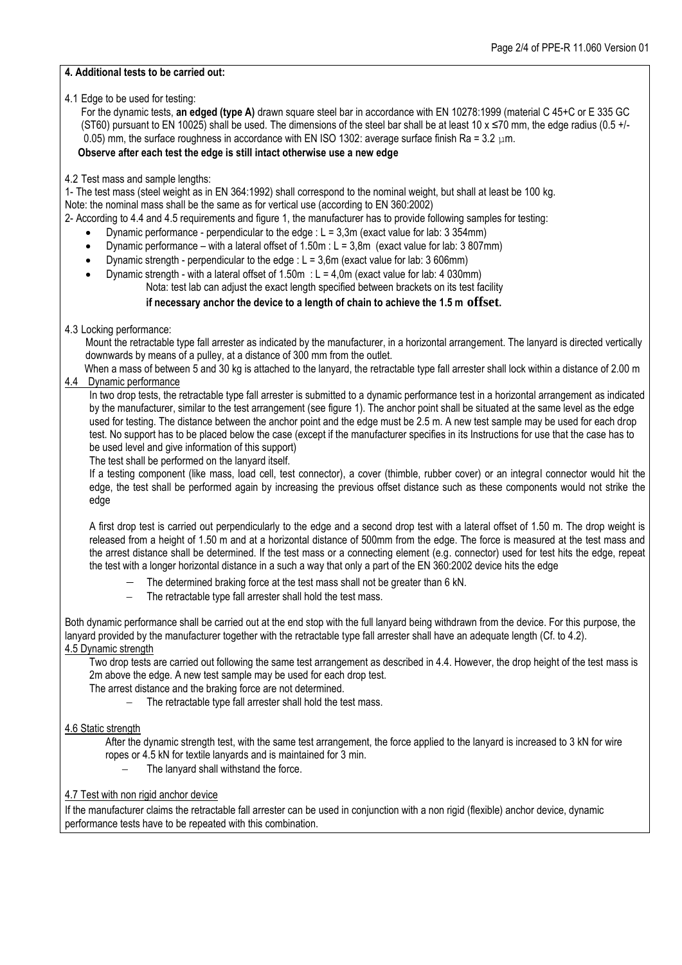## **4. Additional tests to be carried out:**

### 4.1 Edge to be used for testing:

For the dynamic tests, **an edged (type A)** drawn square steel bar in accordance with EN 10278:1999 (material C 45+C or E 335 GC (ST60) pursuant to EN 10025) shall be used. The dimensions of the steel bar shall be at least 10  $x \le 70$  mm, the edge radius (0.5 +/-0.05) mm, the surface roughness in accordance with EN ISO 1302: average surface finish Ra =  $3.2 \mu$ m.

# **Observe after each test the edge is still intact otherwise use a new edge**

## 4.2 Test mass and sample lengths:

1- The test mass (steel weight as in EN 364:1992) shall correspond to the nominal weight, but shall at least be 100 kg. Note: the nominal mass shall be the same as for vertical use (according to EN 360:2002)

- 2- According to 4.4 and 4.5 requirements and figure 1, the manufacturer has to provide following samples for testing:
	- Dynamic performance perpendicular to the edge :  $L = 3.3$ m (exact value for lab: 3 354mm)
	- Dynamic performance with a lateral offset of  $1.50m$  :  $L = 3.8m$  (exact value for lab: 3 807mm)
	- Dynamic strength perpendicular to the edge :  $L = 3.6$ m (exact value for lab: 3 606mm)
		- Dynamic strength with a lateral offset of  $1.50m$  : L =  $4.0m$  (exact value for lab: 4 030mm) Nota: test lab can adjust the exact length specified between brackets on its test facility

# **if necessary anchor the device to a length of chain to achieve the 1.5 m offset.**

4.3 Locking performance:

Mount the retractable type fall arrester as indicated by the manufacturer, in a horizontal arrangement. The lanyard is directed vertically downwards by means of a pulley, at a distance of 300 mm from the outlet.

When a mass of between 5 and 30 kg is attached to the lanyard, the retractable type fall arrester shall lock within a distance of 2.00 m 4.4 Dynamic performance

In two drop tests, the retractable type fall arrester is submitted to a dynamic performance test in a horizontal arrangement as indicated by the manufacturer, similar to the test arrangement (see figure 1). The anchor point shall be situated at the same level as the edge used for testing. The distance between the anchor point and the edge must be 2.5 m. A new test sample may be used for each drop test. No support has to be placed below the case (except if the manufacturer specifies in its Instructions for use that the case has to be used level and give information of this support)

The test shall be performed on the lanyard itself.

If a testing component (like mass, load cell, test connector), a cover (thimble, rubber cover) or an integral connector would hit the edge, the test shall be performed again by increasing the previous offset distance such as these components would not strike the edge

A first drop test is carried out perpendicularly to the edge and a second drop test with a lateral offset of 1.50 m. The drop weight is released from a height of 1.50 m and at a horizontal distance of 500mm from the edge. The force is measured at the test mass and the arrest distance shall be determined. If the test mass or a connecting element (e.g. connector) used for test hits the edge, repeat the test with a longer horizontal distance in a such a way that only a part of the EN 360:2002 device hits the edge

- − The determined braking force at the test mass shall not be greater than 6 kN.
- − The retractable type fall arrester shall hold the test mass.

Both dynamic performance shall be carried out at the end stop with the full lanyard being withdrawn from the device. For this purpose, the lanyard provided by the manufacturer together with the retractable type fall arrester shall have an adequate length (Cf. to 4.2). 4.5 Dynamic strength

Two drop tests are carried out following the same test arrangement as described in 4.4. However, the drop height of the test mass is 2m above the edge. A new test sample may be used for each drop test.

The arrest distance and the braking force are not determined.

The retractable type fall arrester shall hold the test mass.

# 4.6 Static strength

After the dynamic strength test, with the same test arrangement, the force applied to the lanyard is increased to 3 kN for wire ropes or 4.5 kN for textile lanyards and is maintained for 3 min.

- The lanyard shall withstand the force.
- 4.7 Test with non rigid anchor device

If the manufacturer claims the retractable fall arrester can be used in conjunction with a non rigid (flexible) anchor device, dynamic performance tests have to be repeated with this combination.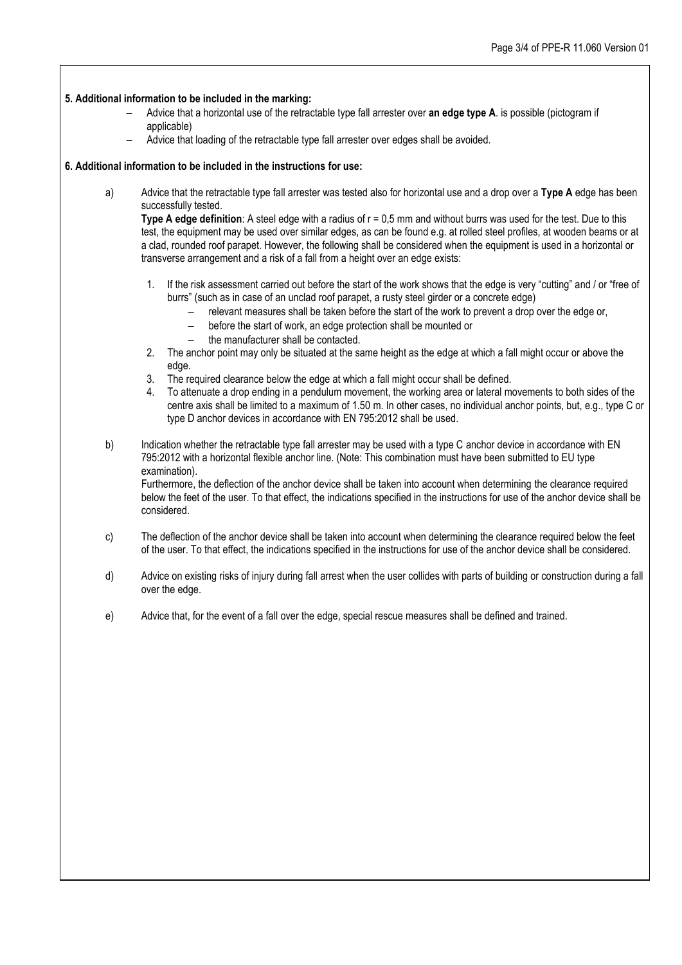#### **5. Additional information to be included in the marking:**

- − Advice that a horizontal use of the retractable type fall arrester over **an edge type A**. is possible (pictogram if applicable)
- − Advice that loading of the retractable type fall arrester over edges shall be avoided.

#### **6. Additional information to be included in the instructions for use:**

a) Advice that the retractable type fall arrester was tested also for horizontal use and a drop over a **Type A** edge has been successfully tested.

**Type A edge definition**: A steel edge with a radius of r = 0,5 mm and without burrs was used for the test. Due to this test, the equipment may be used over similar edges, as can be found e.g. at rolled steel profiles, at wooden beams or at a clad, rounded roof parapet. However, the following shall be considered when the equipment is used in a horizontal or transverse arrangement and a risk of a fall from a height over an edge exists:

- 1. If the risk assessment carried out before the start of the work shows that the edge is very "cutting" and / or "free of burrs" (such as in case of an unclad roof parapet, a rusty steel girder or a concrete edge)
	- − relevant measures shall be taken before the start of the work to prevent a drop over the edge or,
	- before the start of work, an edge protection shall be mounted or
	- − the manufacturer shall be contacted.
- 2. The anchor point may only be situated at the same height as the edge at which a fall might occur or above the edge.
- 3. The required clearance below the edge at which a fall might occur shall be defined.
- 4. To attenuate a drop ending in a pendulum movement, the working area or lateral movements to both sides of the centre axis shall be limited to a maximum of 1.50 m. In other cases, no individual anchor points, but, e.g., type C or type D anchor devices in accordance with EN 795:2012 shall be used.
- b) Indication whether the retractable type fall arrester may be used with a type C anchor device in accordance with EN 795:2012 with a horizontal flexible anchor line. (Note: This combination must have been submitted to EU type examination).

Furthermore, the deflection of the anchor device shall be taken into account when determining the clearance required below the feet of the user. To that effect, the indications specified in the instructions for use of the anchor device shall be considered.

- c) The deflection of the anchor device shall be taken into account when determining the clearance required below the feet of the user. To that effect, the indications specified in the instructions for use of the anchor device shall be considered.
- d) Advice on existing risks of injury during fall arrest when the user collides with parts of building or construction during a fall over the edge.
- e) Advice that, for the event of a fall over the edge, special rescue measures shall be defined and trained.